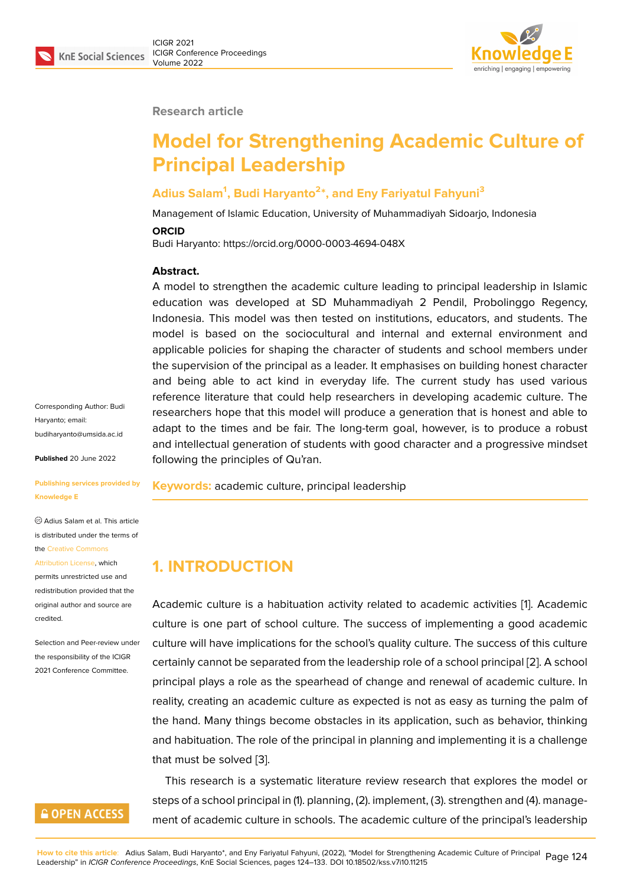#### **Research article**

# **Model for Strengthening Academic Culture of Principal Leadership**

### **Adius Salam<sup>1</sup> , Budi Haryanto<sup>2</sup> \*, and Eny Fariyatul Fahyuni<sup>3</sup>**

Management of Islamic Education, University of Muhammadiyah Sidoarjo, Indonesia

#### **ORCID**

Budi Haryanto: https://orcid.org/0000-0003-4694-048X

#### **Abstract.**

A model to strengthen the academic culture leading to principal leadership in Islamic education was developed at SD Muhammadiyah 2 Pendil, Probolinggo Regency, Indonesia. This model was then tested on institutions, educators, and students. The model is based on the sociocultural and internal and external environment and applicable policies for shaping the character of students and school members under the supervision of the principal as a leader. It emphasises on building honest character and being able to act kind in everyday life. The current study has used various reference literature that could help researchers in developing academic culture. The researchers hope that this model will produce a generation that is honest and able to adapt to the times and be fair. The long-term goal, however, is to produce a robust and intellectual generation of students with good character and a progressive mindset following the principles of Qu'ran.

**Keywords:** academic culture, principal leadership

# **1. INTRODUCTION**

Academic culture is a habituation activity related to academic activities [1]. Academic culture is one part of school culture. The success of implementing a good academic culture will have implications for the school's quality culture. The success of this culture certainly cannot be separated from the leadership role of a school principa[l \[](#page-8-0)2]. A school principal plays a role as the spearhead of change and renewal of academic culture. In reality, creating an academic culture as expected is not as easy as turning the palm of the hand. Many things become obstacles in its application, such as behav[io](#page-8-1)r, thinking and habituation. The role of the principal in planning and implementing it is a challenge that must be solved [3].

This research is a systematic literature review research that explores the model or steps of a school principal in (1). planning, (2). implement, (3). strengthen and (4). management of academic cu[ltu](#page-8-2)re in schools. The academic culture of the principal's leadership

Corresponding Author: Budi Haryanto; email: budiharyanto@umsida.ac.id

**Published** 20 June 2022

#### **[Publishing services provide](mailto:budiharyanto@umsida.ac.id)d by Knowledge E**

Adius Salam et al. This article is distributed under the terms of the Creative Commons

Attribution License, which permits unrestricted use and redistribution provided that the orig[inal author and sou](https://creativecommons.org/licenses/by/4.0/)rce are [credited.](https://creativecommons.org/licenses/by/4.0/)

Selection and Peer-review under the responsibility of the ICIGR 2021 Conference Committee.

### **GOPEN ACCESS**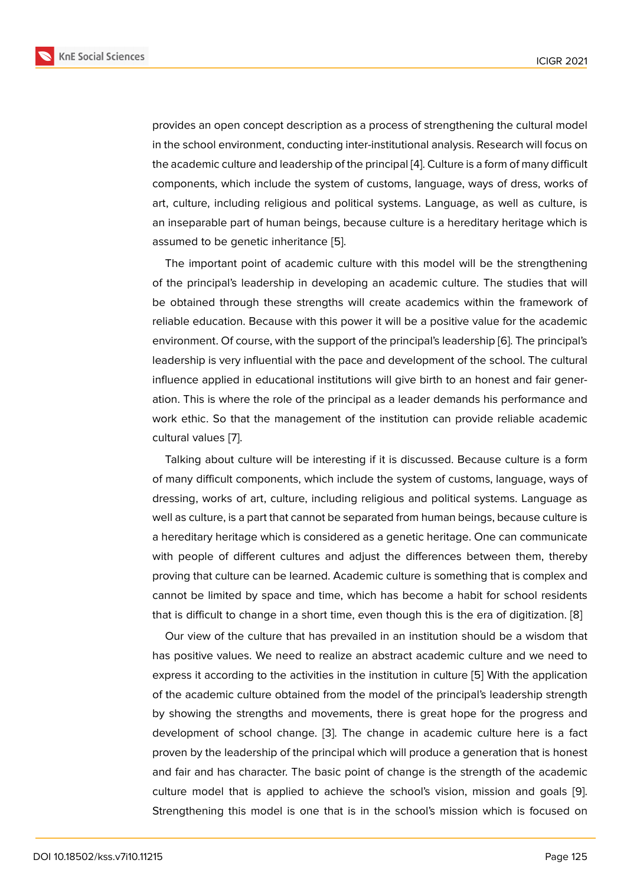provides an open concept description as a process of strengthening the cultural model in the school environment, conducting inter-institutional analysis. Research will focus on the academic culture and leadership of the principal [4]. Culture is a form of many difficult components, which include the system of customs, language, ways of dress, works of art, culture, including religious and political systems. Language, as well as culture, is an inseparable part of human beings, because cult[ure](#page-8-3) is a hereditary heritage which is assumed to be genetic inheritance [5].

The important point of academic culture with this model will be the strengthening of the principal's leadership in developing an academic culture. The studies that will be obtained through these strengt[hs](#page-8-4) will create academics within the framework of reliable education. Because with this power it will be a positive value for the academic environment. Of course, with the support of the principal's leadership [6]. The principal's leadership is very influential with the pace and development of the school. The cultural influence applied in educational institutions will give birth to an honest and fair generation. This is where the role of the principal as a leader demands his [p](#page-8-5)erformance and work ethic. So that the management of the institution can provide reliable academic cultural values [7].

Talking about culture will be interesting if it is discussed. Because culture is a form of many difficult components, which include the system of customs, language, ways of dressing, work[s o](#page-8-6)f art, culture, including religious and political systems. Language as well as culture, is a part that cannot be separated from human beings, because culture is a hereditary heritage which is considered as a genetic heritage. One can communicate with people of different cultures and adjust the differences between them, thereby proving that culture can be learned. Academic culture is something that is complex and cannot be limited by space and time, which has become a habit for school residents that is difficult to change in a short time, even though this is the era of digitization. [8]

Our view of the culture that has prevailed in an institution should be a wisdom that has positive values. We need to realize an abstract academic culture and we need to express it according to the activities in the institution in culture [5] With the applicat[io](#page-8-7)n of the academic culture obtained from the model of the principal's leadership strength by showing the strengths and movements, there is great hope for the progress and development of school change. [3]. The change in academic [c](#page-8-4)ulture here is a fact proven by the leadership of the principal which will produce a generation that is honest and fair and has character. The basic point of change is the strength of the academic culture model that is applied to [ac](#page-8-2)hieve the school's vision, mission and goals [9]. Strengthening this model is one that is in the school's mission which is focused on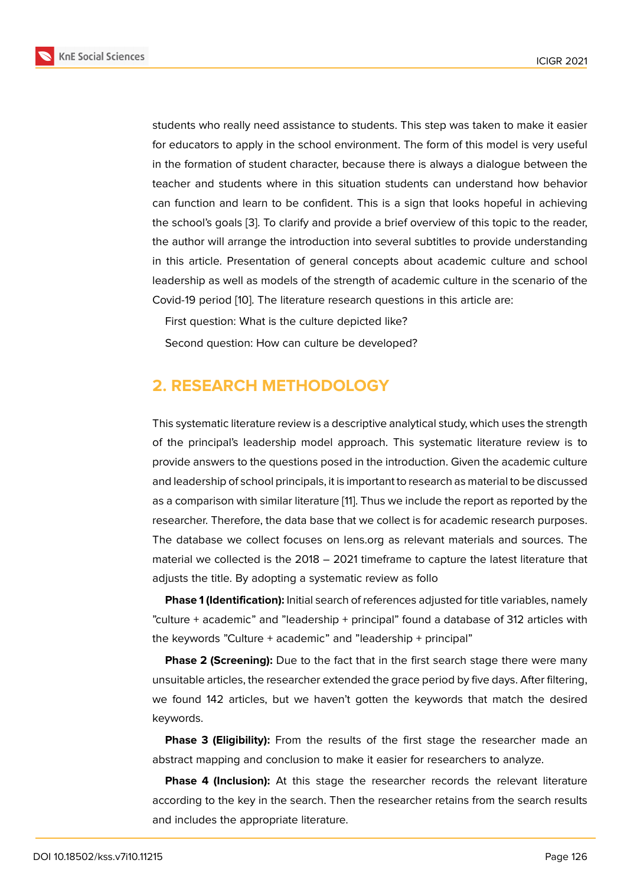students who really need assistance to students. This step was taken to make it easier for educators to apply in the school environment. The form of this model is very useful in the formation of student character, because there is always a dialogue between the teacher and students where in this situation students can understand how behavior can function and learn to be confident. This is a sign that looks hopeful in achieving the school's goals [3]. To clarify and provide a brief overview of this topic to the reader, the author will arrange the introduction into several subtitles to provide understanding in this article. Presentation of general concepts about academic culture and school leadership as well [as](#page-8-2) models of the strength of academic culture in the scenario of the Covid-19 period [10]. The literature research questions in this article are:

First question: What is the culture depicted like?

Second questi[on](#page-9-0): How can culture be developed?

### **2. RESEARCH METHODOLOGY**

This systematic literature review is a descriptive analytical study, which uses the strength of the principal's leadership model approach. This systematic literature review is to provide answers to the questions posed in the introduction. Given the academic culture and leadership of school principals, it is important to research as material to be discussed as a comparison with similar literature [11]. Thus we include the report as reported by the researcher. Therefore, the data base that we collect is for academic research purposes. The database we collect focuses on lens.org as relevant materials and sources. The material we collected is the 2018 – 2[02](#page-9-1)1 timeframe to capture the latest literature that adjusts the title. By adopting a systematic review as follo

**Phase 1 (Identification):** Initial search of references adjusted for title variables, namely "culture + academic" and "leadership + principal" found a database of 312 articles with the keywords "Culture + academic" and "leadership + principal"

**Phase 2 (Screening):** Due to the fact that in the first search stage there were many unsuitable articles, the researcher extended the grace period by five days. After filtering, we found 142 articles, but we haven't gotten the keywords that match the desired keywords.

**Phase 3 (Eligibility):** From the results of the first stage the researcher made an abstract mapping and conclusion to make it easier for researchers to analyze.

**Phase 4 (Inclusion):** At this stage the researcher records the relevant literature according to the key in the search. Then the researcher retains from the search results and includes the appropriate literature.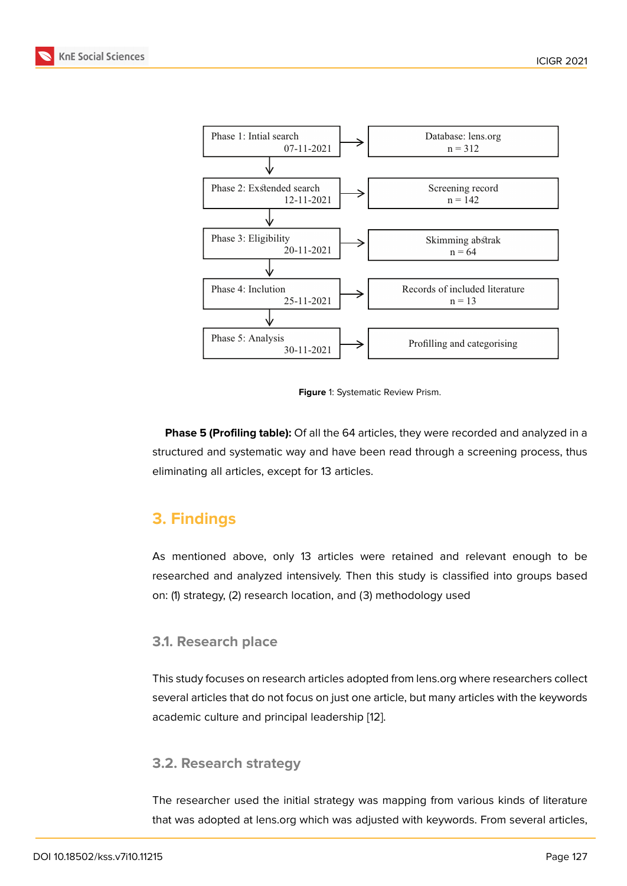

**Figure** 1: Systematic Review Prism.

**Phase 5 (Profiling table):** Of all the 64 articles, they were recorded and analyzed in a structured and systematic way and have been read through a screening process, thus eliminating all articles, except for 13 articles.

# **3. Findings**

As mentioned above, only 13 articles were retained and relevant enough to be researched and analyzed intensively. Then this study is classified into groups based on: (1) strategy, (2) research location, and (3) methodology used

### **3.1. Research place**

This study focuses on research articles adopted from lens.org where researchers collect several articles that do not focus on just one article, but many articles with the keywords academic culture and principal leadership [12].

### **3.2. Research strategy**

The researcher used the initial strategy was mapping from various kinds of literature that was adopted at lens.org which was adjusted with keywords. From several articles,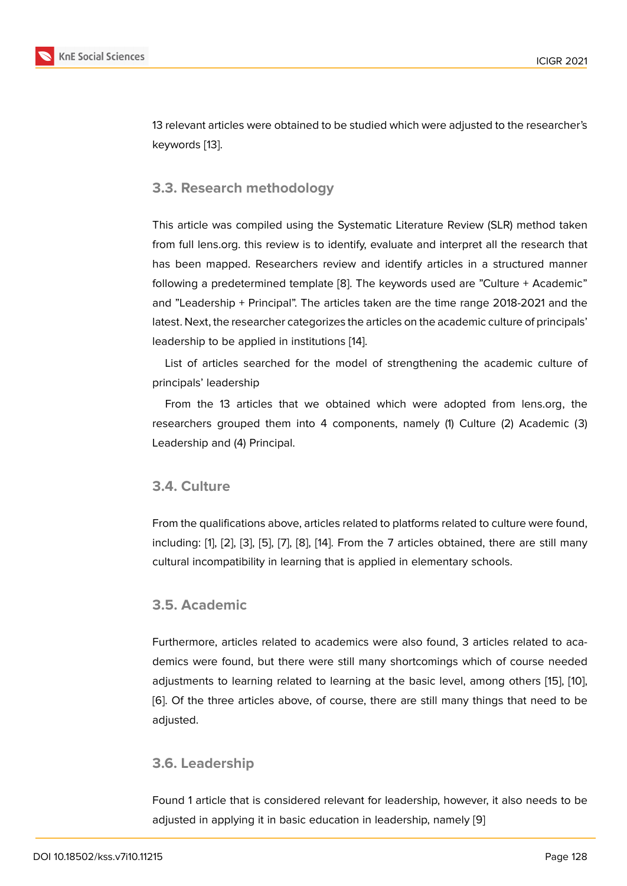13 relevant articles were obtained to be studied which were adjusted to the researcher's keywords [13].

### **3.3. Res[ea](#page-9-2)rch methodology**

This article was compiled using the Systematic Literature Review (SLR) method taken from full lens.org. this review is to identify, evaluate and interpret all the research that has been mapped. Researchers review and identify articles in a structured manner following a predetermined template [8]. The keywords used are "Culture + Academic" and "Leadership + Principal". The articles taken are the time range 2018-2021 and the latest. Next, the researcher categorizes the articles on the academic culture of principals' leadership to be applied in institutio[ns](#page-8-7) [14].

List of articles searched for the model of strengthening the academic culture of principals' leadership

From the 13 articles that we obtai[ne](#page-9-3)d which were adopted from lens.org, the researchers grouped them into 4 components, namely (1) Culture (2) Academic (3) Leadership and (4) Principal.

### **3.4. Culture**

From the qualifications above, articles related to platforms related to culture were found, including: [1], [2], [3], [5], [7], [8], [14]. From the 7 articles obtained, there are still many cultural incompatibility in learning that is applied in elementary schools.

#### **3.5. Aca[d](#page-8-0)e[m](#page-8-1)i[c](#page-8-2)**

Furthermore, articles related to academics were also found, 3 articles related to academics were found, but there were still many shortcomings which of course needed adjustments to learning related to learning at the basic level, among others [15], [10], [6]. Of the three articles above, of course, there are still many things that need to be adjusted.

### **[3.](#page-8-5)6. Leadership**

Found 1 article that is considered relevant for leadership, however, it also needs to be adjusted in applying it in basic education in leadership, namely [9]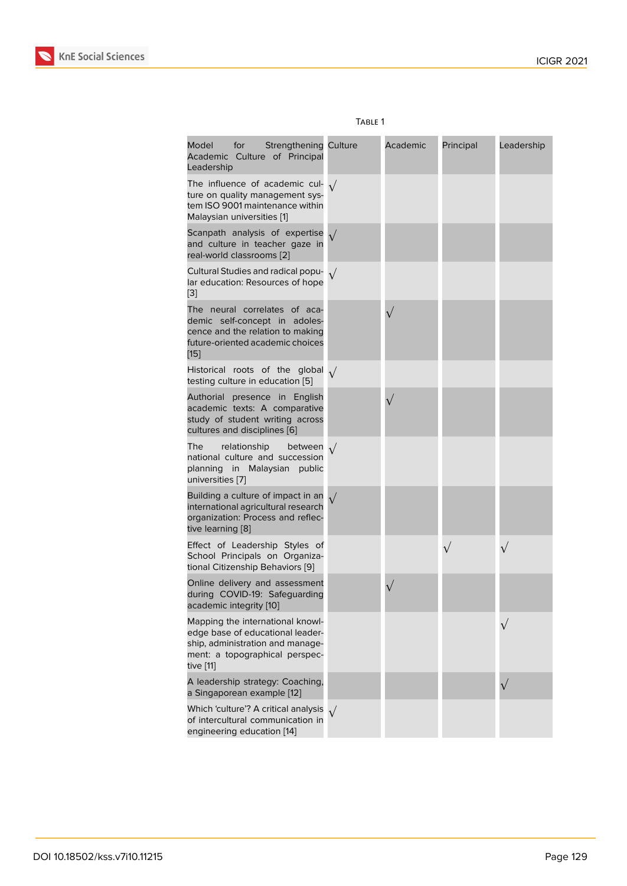|                                                                                                                                                         | <b>IABLE</b> I |          |           |            |
|---------------------------------------------------------------------------------------------------------------------------------------------------------|----------------|----------|-----------|------------|
| Model<br>for<br><b>Strengthening Culture</b><br>Academic Culture of Principal<br>Leadership                                                             |                | Academic | Principal | Leadership |
| The influence of academic cul- $\sqrt{}$<br>ture on quality management sys-<br>tem ISO 9001 maintenance within<br>Malaysian universities [1]            |                |          |           |            |
| Scanpath analysis of expertise $\sqrt{}$<br>and culture in teacher gaze in<br>real-world classrooms [2]                                                 |                |          |           |            |
| Cultural Studies and radical popu- $\sqrt{}$<br>lar education: Resources of hope<br>[3]                                                                 |                |          |           |            |
| The neural correlates of aca-<br>demic self-concept in adoles-<br>cence and the relation to making<br>future-oriented academic choices<br>$[15]$        |                |          |           |            |
| Historical roots of the global $\sqrt{}$<br>testing culture in education [5]                                                                            |                |          |           |            |
| Authorial presence in English<br>academic texts: A comparative<br>study of student writing across<br>cultures and disciplines [6]                       |                |          |           |            |
| The<br>relationship<br>between $\sqrt$<br>national culture and succession<br>planning in Malaysian public<br>universities [7]                           |                |          |           |            |
| Building a culture of impact in an $\sqrt{ }$<br>international agricultural research<br>organization: Process and reflec-<br>tive learning [8]          |                |          |           |            |
| Effect of Leadership Styles of<br>School Principals on Organiza-<br>tional Citizenship Behaviors [9]                                                    |                |          | $\sqrt{}$ | $\sqrt{}$  |
| Online delivery and assessment<br>during COVID-19: Safeguarding<br>academic integrity [10]                                                              |                |          |           |            |
| Mapping the international knowl-<br>edge base of educational leader-<br>ship, administration and manage-<br>ment: a topographical perspec-<br>tive [11] |                |          |           |            |
| A leadership strategy: Coaching,<br>a Singaporean example [12]                                                                                          |                |          |           |            |
| Which 'culture'? A critical analysis<br>of intercultural communication in                                                                               |                |          |           |            |

#### $T$ ari e 1

engineering education [14]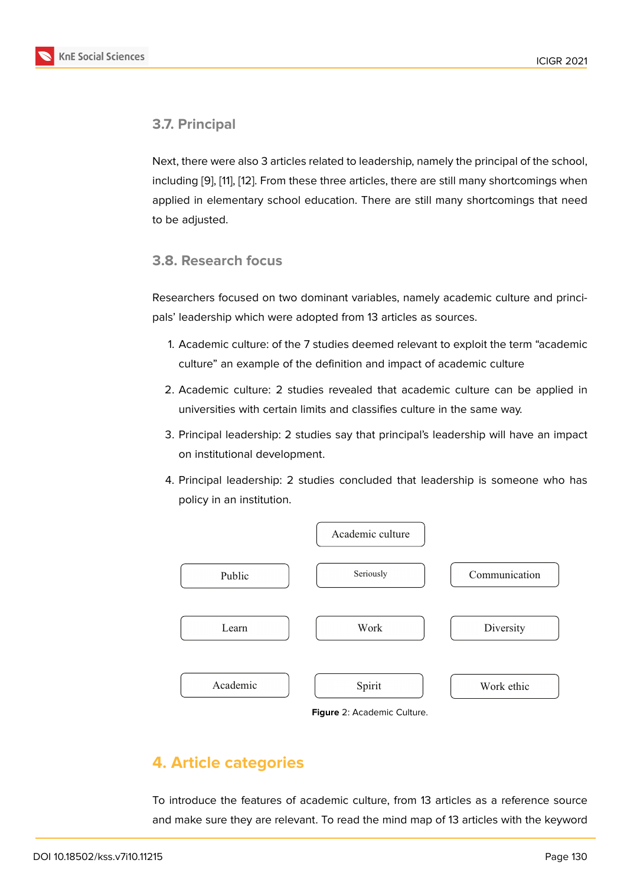### **3.7. Principal**

Next, there were also 3 articles related to leadership, namely the principal of the school, including [9], [11], [12]. From these three articles, there are still many shortcomings when applied in elementary school education. There are still many shortcomings that need to be adjusted.

### **3.8. Research focus**

Researchers focused on two dominant variables, namely academic culture and principals' leadership which were adopted from 13 articles as sources.

- 1. Academic culture: of the 7 studies deemed relevant to exploit the term "academic culture" an example of the definition and impact of academic culture
- 2. Academic culture: 2 studies revealed that academic culture can be applied in universities with certain limits and classifies culture in the same way.
- 3. Principal leadership: 2 studies say that principal's leadership will have an impact on institutional development.
- 4. Principal leadership: 2 studies concluded that leadership is someone who has policy in an institution.



<span id="page-6-0"></span>**Figure** 2: Academic Culture.

# **4. Article categories**

To introduce the features of academic culture, from 13 articles as a reference source and make sure they are relevant. To read the mind map of 13 articles with the keyword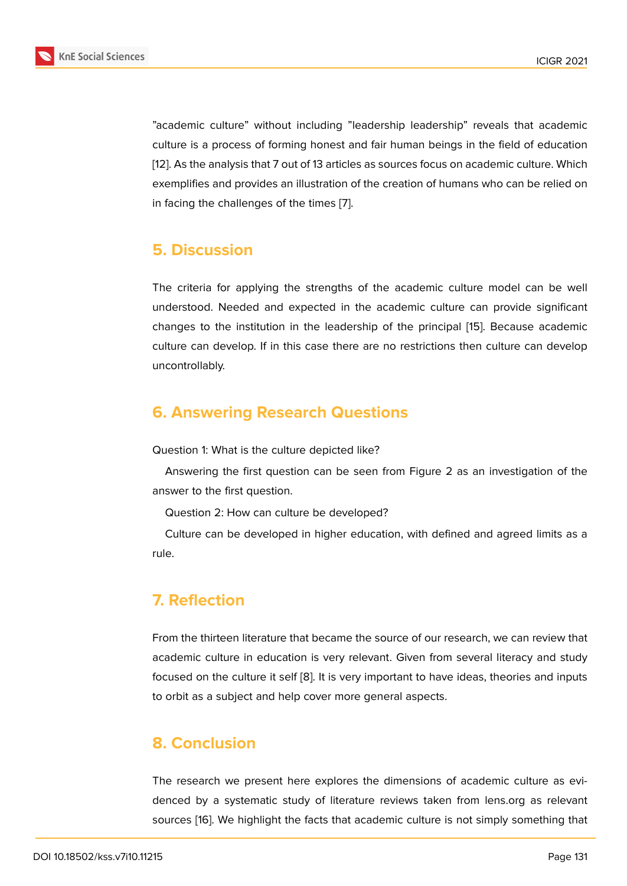"academic culture" without including "leadership leadership" reveals that academic culture is a process of forming honest and fair human beings in the field of education [12]. As the analysis that 7 out of 13 articles as sources focus on academic culture. Which exemplifies and provides an illustration of the creation of humans who can be relied on in facing the challenges of the times [7].

### **5. Discussion**

The criteria for applying the strengths of the academic culture model can be well understood. Needed and expected in the academic culture can provide significant changes to the institution in the leadership of the principal [15]. Because academic culture can develop. If in this case there are no restrictions then culture can develop uncontrollably.

# **6. Answering Research Questions**

Question 1: What is the culture depicted like?

Answering the first question can be seen from Figure 2 as an investigation of the answer to the first question.

Question 2: How can culture be developed?

Culture can be developed in higher education, with de[fin](#page-6-0)ed and agreed limits as a rule.

# **7. Reflection**

From the thirteen literature that became the source of our research, we can review that academic culture in education is very relevant. Given from several literacy and study focused on the culture it self [8]. It is very important to have ideas, theories and inputs to orbit as a subject and help cover more general aspects.

### **8. Conclusion**

The research we present here explores the dimensions of academic culture as evidenced by a systematic study of literature reviews taken from lens.org as relevant sources [16]. We highlight the facts that academic culture is not simply something that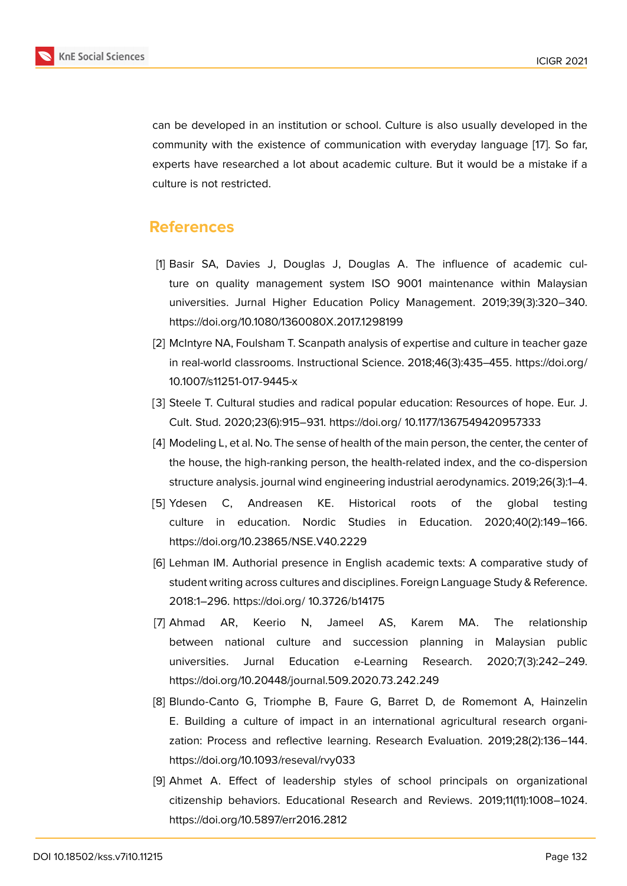can be developed in an institution or school. Culture is also usually developed in the community with the existence of communication with everyday language [17]. So far, experts have researched a lot about academic culture. But it would be a mistake if a culture is not restricted.

### **References**

- [1] Basir SA, Davies J, Douglas J, Douglas A. The influence of academic culture on quality management system ISO 9001 maintenance within Malaysian universities. Jurnal Higher Education Policy Management. 2019;39(3):320–340. https://doi.org/10.1080/1360080X.2017.1298199
- <span id="page-8-0"></span>[2] McIntyre NA, Foulsham T. Scanpath analysis of expertise and culture in teacher gaze in real-world classrooms. Instructional Science. 2018;46(3):435–455. https://doi.org/ 10.1007/s11251-017-9445-x
- <span id="page-8-1"></span>[3] Steele T. Cultural studies and radical popular education: Resources of hope. Eur. J. Cult. Stud. 2020;23(6):915–931. https://doi.org/ 10.1177/1367549420957333
- <span id="page-8-2"></span>[4] Modeling L, et al. No. The sense of health of the main person, the center, the center of the house, the high-ranking person, the health-related index, and the co-dispersion structure analysis. journal wind engineering industrial aerodynamics. 2019;26(3):1–4.
- <span id="page-8-3"></span>[5] Ydesen C, Andreasen KE. Historical roots of the global testing culture in education. Nordic Studies in Education. 2020;40(2):149–166. https://doi.org/10.23865/NSE.V40.2229
- <span id="page-8-4"></span>[6] Lehman IM. Authorial presence in English academic texts: A comparative study of student writing across cultures and disciplines. Foreign Language Study & Reference. 2018:1–296. https://doi.org/ 10.3726/b14175
- <span id="page-8-5"></span>[7] Ahmad AR, Keerio N, Jameel AS, Karem MA. The relationship between national culture and succession planning in Malaysian public universities. Jurnal Education e-Learning Research. 2020;7(3):242–249. https://doi.org/10.20448/journal.509.2020.73.242.249
- <span id="page-8-6"></span>[8] Blundo-Canto G, Triomphe B, Faure G, Barret D, de Romemont A, Hainzelin E. Building a culture of impact in an international agricultural research organization: Process and reflective learning. Research Evaluation. 2019;28(2):136–144. https://doi.org/10.1093/reseval/rvy033
- <span id="page-8-8"></span><span id="page-8-7"></span>[9] Ahmet A. Effect of leadership styles of school principals on organizational citizenship behaviors. Educational Research and Reviews. 2019;11(11):1008–1024. https://doi.org/10.5897/err2016.2812